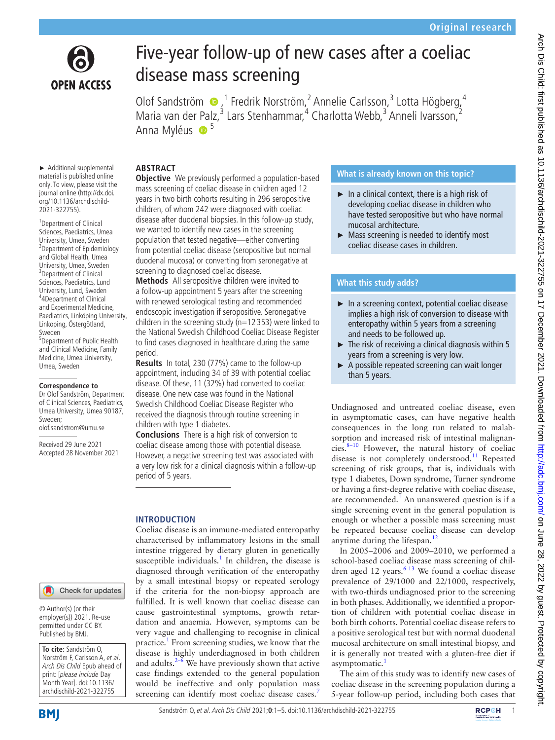

# Five-year follow-up of new cases after a coeliac disease mass screening

Olof Sandström  $\bullet$ ,<sup>1</sup> Fredrik Norström,<sup>2</sup> Annelie Carlsson,<sup>3</sup> Lotta Högberg,<sup>4</sup> Maria van der Palz,<sup>3</sup> Lars Stenhammar,<sup>4</sup> Charlotta Webb,<sup>3</sup> Anneli Ivarsson,<sup>2</sup> Anna Myléus  $\bullet$ <sup>5</sup>

# **ABSTRACT**

► Additional supplemental material is published online only. To view, please visit the journal online ([http://dx.doi.](http://dx.doi.org/10.1136/archdischild-2021-322755) [org/10.1136/archdischild-](http://dx.doi.org/10.1136/archdischild-2021-322755)[2021-322755\)](http://dx.doi.org/10.1136/archdischild-2021-322755).

<sup>1</sup>Department of Clinical Sciences, Paediatrics, Umea University, Umea, Sweden 2 Department of Epidemiology and Global Health, Umea University, Umea, Sweden <sup>3</sup>Department of Clinical Sciences, Paediatrics, Lund University, Lund, Sweden 4 4Department of Clinical and Experimental Medicine, Paediatrics, Linköping University, Linkoping, Östergötland, Sweden 5 Department of Public Health and Clinical Medicine, Family Medicine, Umea University, Umea, Sweden

#### **Correspondence to**

Dr Olof Sandström, Department of Clinical Sciences, Paediatrics, Umea University, Umea 90187, Sweden; olof.sandstrom@umu.se

Received 29 June 2021 Accepted 28 November 2021

#### Check for updates

© Author(s) (or their employer(s)) 2021. Re-use permitted under CC BY. Published by BMJ.

**To cite:** Sandström O, Norström F, Carlsson A, et al. Arch Dis Child Epub ahead of print: [please include Day Month Year]. doi:10.1136/ archdischild-2021-322755

**Objective** We previously performed a population-based mass screening of coeliac disease in children aged 12 years in two birth cohorts resulting in 296 seropositive children, of whom 242 were diagnosed with coeliac disease after duodenal biopsies. In this follow-up study, we wanted to identify new cases in the screening population that tested negative—either converting from potential coeliac disease (seropositive but normal duodenal mucosa) or converting from seronegative at screening to diagnosed coeliac disease.

**Methods** All seropositive children were invited to a follow-up appointment 5 years after the screening with renewed serological testing and recommended endoscopic investigation if seropositive. Seronegative children in the screening study ( $n=12353$ ) were linked to the National Swedish Childhood Coeliac Disease Register to find cases diagnosed in healthcare during the same period.

**Results** In total, 230 (77%) came to the follow-up appointment, including 34 of 39 with potential coeliac disease. Of these, 11 (32%) had converted to coeliac disease. One new case was found in the National Swedish Childhood Coeliac Disease Register who received the diagnosis through routine screening in children with type 1 diabetes.

**Conclusions** There is a high risk of conversion to coeliac disease among those with potential disease. However, a negative screening test was associated with a very low risk for a clinical diagnosis within a follow-up period of 5 years.

## **INTRODUCTION**

Coeliac disease is an immune-mediated enteropathy characterised by inflammatory lesions in the small intestine triggered by dietary gluten in genetically susceptible individuals.<sup>1</sup> In children, the disease is diagnosed through verification of the enteropathy by a small intestinal biopsy or repeated serology if the criteria for the non-biopsy approach are fulfilled. It is well known that coeliac disease can cause gastrointestinal symptoms, growth retardation and anaemia. However, symptoms can be very vague and challenging to recognise in clinical practice.<sup>[1](#page-4-0)</sup> From screening studies, we know that the disease is highly underdiagnosed in both children and adults. $2-6$  We have previously shown that active case findings extended to the general population would be ineffective and only population mass screening can identify most coeliac disease cases.<sup>[7](#page-4-2)</sup>

## **What is already known on this topic?**

- $\blacktriangleright$  In a clinical context, there is a high risk of developing coeliac disease in children who have tested seropositive but who have normal mucosal architecture.
- ► Mass screening is needed to identify most coeliac disease cases in children.

# **What this study adds?**

- ► In a screening context, potential coeliac disease implies a high risk of conversion to disease with enteropathy within 5 years from a screening and needs to be followed up.
- ► The risk of receiving a clinical diagnosis within 5 years from a screening is very low.
- ► A possible repeated screening can wait longer than 5 years.

Undiagnosed and untreated coeliac disease, even in asymptomatic cases, can have negative health consequences in the long run related to malabsorption and increased risk of intestinal malignancies.<sup>8-10</sup> However, the natural history of coeliac disease is not completely understood.<sup>[11](#page-4-4)</sup> Repeated screening of risk groups, that is, individuals with type 1 diabetes, Down syndrome, Turner syndrome or having a first-degree relative with coeliac disease, are recommended.<sup>[1](#page-4-0)</sup> An unanswered question is if a single screening event in the general population is enough or whether a possible mass screening must be repeated because coeliac disease can develop anytime during the lifespan.<sup>[12](#page-4-5)</sup>

In 2005–2006 and 2009–2010, we performed a school-based coeliac disease mass screening of children aged 12 years. $613$  We found a coeliac disease prevalence of 29/1000 and 22/1000, respectively, with two-thirds undiagnosed prior to the screening in both phases. Additionally, we identified a proportion of children with potential coeliac disease in both birth cohorts. Potential coeliac disease refers to a positive serological test but with normal duodenal mucosal architecture on small intestinal biopsy, and it is generally not treated with a gluten-free diet if asymptomatic.<sup>[1](#page-4-0)</sup>

The aim of this study was to identify new cases of coeliac disease in the screening population during a 5-year follow-up period, including both cases that

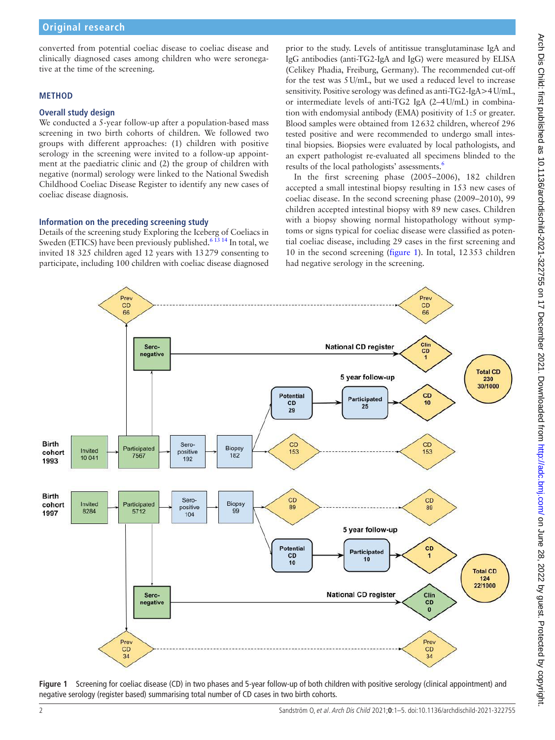converted from potential coeliac disease to coeliac disease and clinically diagnosed cases among children who were seronegative at the time of the screening.

# **METHOD**

## **Overall study design**

We conducted a 5-year follow-up after a population-based mass screening in two birth cohorts of children. We followed two groups with different approaches: (1) children with positive serology in the screening were invited to a follow-up appointment at the paediatric clinic and (2) the group of children with negative (normal) serology were linked to the National Swedish Childhood Coeliac Disease Register to identify any new cases of coeliac disease diagnosis.

# **Information on the preceding screening study**

Details of the screening study Exploring the Iceberg of Coeliacs in Sweden (ETICS) have been previously published.<sup>6 13 14</sup> In total, we invited 18 325 children aged 12 years with 13279 consenting to participate, including 100 children with coeliac disease diagnosed

prior to the study. Levels of antitissue transglutaminase IgA and IgG antibodies (anti-TG2-IgA and IgG) were measured by ELISA (Celikey Phadia, Freiburg, Germany). The recommended cut-off for the test was 5U/mL, but we used a reduced level to increase sensitivity. Positive serology was defined as anti-TG2-IgA>4U/mL, or intermediate levels of anti-TG2 IgA (2–4U/mL) in combination with endomysial antibody (EMA) positivity of 1:5 or greater. Blood samples were obtained from 12632 children, whereof 296 tested positive and were recommended to undergo small intestinal biopsies. Biopsies were evaluated by local pathologists, and an expert pathologist re-evaluated all specimens blinded to the results of the local pathologists' assessments.<sup>[6](#page-4-6)</sup>

In the first screening phase (2005–2006), 182 children accepted a small intestinal biopsy resulting in 153 new cases of coeliac disease. In the second screening phase (2009–2010), 99 children accepted intestinal biopsy with 89 new cases. Children with a biopsy showing normal histopathology without symptoms or signs typical for coeliac disease were classified as potential coeliac disease, including 29 cases in the first screening and 10 in the second screening [\(figure](#page-1-0) 1). In total, 12353 children had negative serology in the screening.



<span id="page-1-0"></span>**Figure 1** Screening for coeliac disease (CD) in two phases and 5-year follow-up of both children with positive serology (clinical appointment) and negative serology (register based) summarising total number of CD cases in two birth cohorts.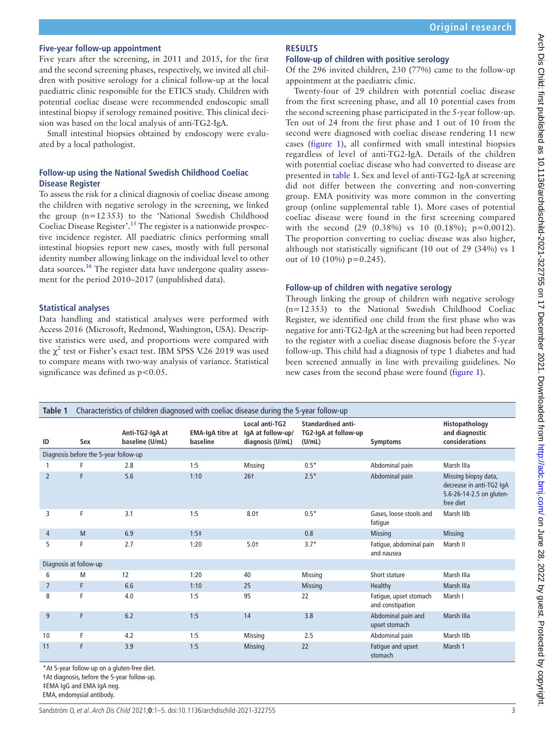## **Five-year follow-up appointment**

Five years after the screening, in 2011 and 2015, for the first and the second screening phases, respectively, we invited all children with positive serology for a clinical follow-up at the local paediatric clinic responsible for the ETICS study. Children with potential coeliac disease were recommended endoscopic small intestinal biopsy if serology remained positive. This clinical decision was based on the local analysis of anti-TG2-IgA.

Small intestinal biopsies obtained by endoscopy were evaluated by a local pathologist.

## **Follow-up using the National Swedish Childhood Coeliac Disease Register**

To assess the risk for a clinical diagnosis of coeliac disease among the children with negative serology in the screening, we linked the group (n=12353) to the 'National Swedish Childhood Coeliac Disease Register'.[15](#page-4-7) The register is a nationwide prospective incidence register. All paediatric clinics performing small intestinal biopsies report new cases, mostly with full personal identity number allowing linkage on the individual level to other data sources.<sup>16</sup> The register data have undergone quality assessment for the period 2010–2017 (unpublished data).

### **Statistical analyses**

Data handling and statistical analyses were performed with Access 2016 (Microsoft, Redmond, Washington, USA). Descriptive statistics were used, and proportions were compared with the  $\chi^2$  test or Fisher's exact test. IBM SPSS V.26 2019 was used to compare means with two-way analysis of variance. Statistical significance was defined as  $p < 0.05$ .

## **RESULTS**

#### **Follow-up of children with positive serology**

Of the 296 invited children, 230 (77%) came to the follow-up appointment at the paediatric clinic.

Twenty-four of 29 children with potential coeliac disease from the first screening phase, and all 10 potential cases from the second screening phase participated in the 5-year follow-up. Ten out of 24 from the first phase and 1 out of 10 from the second were diagnosed with coeliac disease rendering 11 new cases ([figure](#page-1-0) 1), all confirmed with small intestinal biopsies regardless of level of anti-TG2-IgA. Details of the children with potential coeliac disease who had converted to disease are presented in [table](#page-2-0) 1. Sex and level of anti-TG2-IgA at screening did not differ between the converting and non-converting group. EMA positivity was more common in the converting group ([online supplemental table 1\)](https://dx.doi.org/10.1136/archdischild-2021-322755). More cases of potential coeliac disease were found in the first screening compared with the second (29 (0.38%) vs 10 (0.18%); p=0.0012). The proportion converting to coeliac disease was also higher, although not statistically significant (10 out of 29 (34%) vs 1 out of 10 (10%)  $p=0.245$ ).

### **Follow-up of children with negative serology**

Through linking the group of children with negative serology (n=12353) to the National Swedish Childhood Coeliac Register, we identified one child from the first phase who was negative for anti-TG2-IgA at the screening but had been reported to the register with a coeliac disease diagnosis before the 5-year follow-up. This child had a diagnosis of type 1 diabetes and had been screened annually in line with prevailing guidelines. No new cases from the second phase were found ([figure](#page-1-0) 1).

<span id="page-2-0"></span>

| Table 1                               | Characteristics of children diagnosed with coeliac disease during the 5-year follow-up |                                    |                                     |                                                         |                                                      |                                            |                                                                                           |
|---------------------------------------|----------------------------------------------------------------------------------------|------------------------------------|-------------------------------------|---------------------------------------------------------|------------------------------------------------------|--------------------------------------------|-------------------------------------------------------------------------------------------|
| ID                                    | Sex                                                                                    | Anti-TG2-IgA at<br>baseline (U/mL) | <b>EMA-IgA titre at</b><br>baseline | Local anti-TG2<br>IgA at follow-up/<br>diagnosis (U/mL) | Standardised anti-<br>TG2-IgA at follow-up<br>(U/mL) | Symptoms                                   | Histopathology<br>and diagnostic<br>considerations                                        |
| Diagnosis before the 5-year follow-up |                                                                                        |                                    |                                     |                                                         |                                                      |                                            |                                                                                           |
|                                       | F                                                                                      | 2.8                                | 1:5                                 | Missing                                                 | $0.5*$                                               | Abdominal pain                             | Marsh IIIa                                                                                |
| 2                                     | F                                                                                      | 5.6                                | 1:10                                | $26+$                                                   | $2.5*$                                               | Abdominal pain                             | Missing biopsy data,<br>decrease in anti-TG2 IgA<br>5.6-26-14-2.5 on gluten-<br>free diet |
| 3                                     | F                                                                                      | 3.1                                | 1:5                                 | $8.0+$                                                  | $0.5*$                                               | Gases, loose stools and<br>fatique         | Marsh IIIb                                                                                |
| $\overline{4}$                        | M                                                                                      | 6.9                                | $1:5+$                              |                                                         | 0.8                                                  | <b>Missing</b>                             | <b>Missing</b>                                                                            |
| 5                                     | F                                                                                      | 2.7                                | 1:20                                | $5.0+$                                                  | $3.7*$                                               | Fatigue, abdominal pain<br>and nausea      | Marsh II                                                                                  |
| Diagnosis at follow-up                |                                                                                        |                                    |                                     |                                                         |                                                      |                                            |                                                                                           |
| 6                                     | M                                                                                      | 12                                 | 1:20                                | 40                                                      | Missing                                              | Short stature                              | Marsh IIIa                                                                                |
| $\overline{7}$                        | F                                                                                      | 6.6                                | 1:10                                | 25                                                      | <b>Missing</b>                                       | Healthy                                    | Marsh IIIa                                                                                |
| 8                                     | F                                                                                      | 4.0                                | 1:5                                 | 95                                                      | 22                                                   | Fatique, upset stomach<br>and constipation | Marsh I                                                                                   |
| 9                                     | F                                                                                      | 6.2                                | 1:5                                 | 14                                                      | 3.8                                                  | Abdominal pain and<br>upset stomach        | Marsh IIIa                                                                                |
| 10                                    | F                                                                                      | 4.2                                | 1:5                                 | <b>Missing</b>                                          | 2.5                                                  | Abdominal pain                             | Marsh IIIb                                                                                |
| 11                                    | F                                                                                      | 3.9                                | 1:5                                 | <b>Missing</b>                                          | 22                                                   | Fatigue and upset<br>stomach               | Marsh 1                                                                                   |

\*At 5-year follow-up on a gluten-free diet. †At diagnosis, before the 5-year follow-up.

‡EMA IgG and EMA IgA neg.

EMA, endomysial antibody.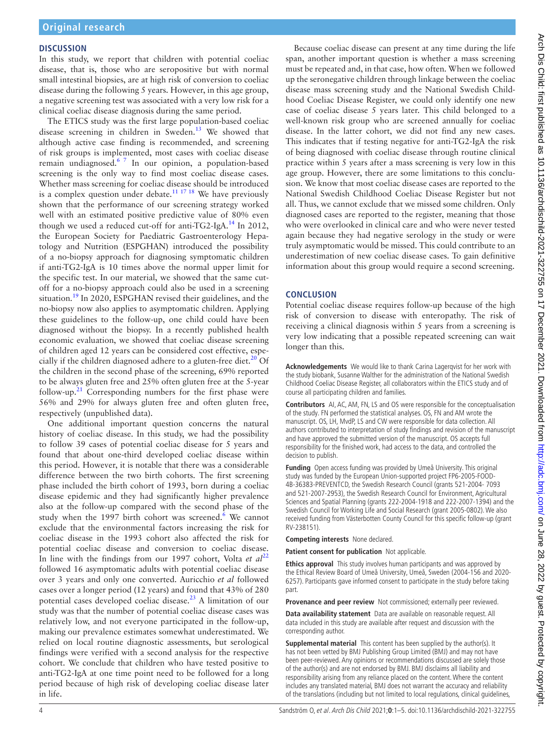#### **DISCUSSION**

In this study, we report that children with potential coeliac disease, that is, those who are seropositive but with normal small intestinal biopsies, are at high risk of conversion to coeliac disease during the following 5 years. However, in this age group, a negative screening test was associated with a very low risk for a clinical coeliac disease diagnosis during the same period.

The ETICS study was the first large population-based coeliac disease screening in children in Sweden.<sup>[13](#page-4-9)</sup> We showed that although active case finding is recommended, and screening of risk groups is implemented, most cases with coeliac disease remain undiagnosed.[6 7](#page-4-6) In our opinion, a population-based screening is the only way to find most coeliac disease cases. Whether mass screening for coeliac disease should be introduced is a complex question under debate.<sup>[11 17 18](#page-4-4)</sup> We have previously shown that the performance of our screening strategy worked well with an estimated positive predictive value of 80% even though we used a reduced cut-off for anti-TG2-IgA[.14](#page-4-10) In 2012, the European Society for Paediatric Gastroenterology Hepatology and Nutrition (ESPGHAN) introduced the possibility of a no-biopsy approach for diagnosing symptomatic children if anti-TG2-IgA is 10 times above the normal upper limit for the specific test. In our material, we showed that the same cutoff for a no-biopsy approach could also be used in a screening situation.<sup>19</sup> In 2020, ESPGHAN revised their guidelines, and the no-biopsy now also applies to asymptomatic children. Applying these guidelines to the follow-up, one child could have been diagnosed without the biopsy. In a recently published health economic evaluation, we showed that coeliac disease screening of children aged 12 years can be considered cost effective, especially if the children diagnosed adhere to a gluten-free diet. $20$  Of the children in the second phase of the screening, 69% reported to be always gluten free and 25% often gluten free at the 5-year follow-up. $2<sup>1</sup>$  Corresponding numbers for the first phase were 56% and 29% for always gluten free and often gluten free, respectively (unpublished data).

One additional important question concerns the natural history of coeliac disease. In this study, we had the possibility to follow 39 cases of potential coeliac disease for 5 years and found that about one-third developed coeliac disease within this period. However, it is notable that there was a considerable difference between the two birth cohorts. The first screening phase included the birth cohort of 1993, born during a coeliac disease epidemic and they had significantly higher prevalence also at the follow-up compared with the second phase of the study when the 1997 birth cohort was screened.<sup>[6](#page-4-6)</sup> We cannot exclude that the environmental factors increasing the risk for coeliac disease in the 1993 cohort also affected the risk for potential coeliac disease and conversion to coeliac disease. In line with the findings from our 1997 cohort, Volta *et al*<sup>[22](#page-4-14)</sup> followed 16 asymptomatic adults with potential coeliac disease over 3 years and only one converted. Auricchio *et al* followed cases over a longer period (12 years) and found that 43% of 280 potential cases developed coeliac disease.<sup>[23](#page-4-15)</sup> A limitation of our study was that the number of potential coeliac disease cases was relatively low, and not everyone participated in the follow-up, making our prevalence estimates somewhat underestimated. We relied on local routine diagnostic assessments, but serological findings were verified with a second analysis for the respective cohort. We conclude that children who have tested positive to anti-TG2-IgA at one time point need to be followed for a long period because of high risk of developing coeliac disease later in life.

Because coeliac disease can present at any time during the life span, another important question is whether a mass screening must be repeated and, in that case, how often. When we followed up the seronegative children through linkage between the coeliac disease mass screening study and the National Swedish Childhood Coeliac Disease Register, we could only identify one new case of coeliac disease 5 years later. This child belonged to a well-known risk group who are screened annually for coeliac disease. In the latter cohort, we did not find any new cases. This indicates that if testing negative for anti-TG2-IgA the risk of being diagnosed with coeliac disease through routine clinical practice within 5 years after a mass screening is very low in this age group. However, there are some limitations to this conclusion. We know that most coeliac disease cases are reported to the National Swedish Childhood Coeliac Disease Register but not all. Thus, we cannot exclude that we missed some children. Only diagnosed cases are reported to the register, meaning that those who were overlooked in clinical care and who were never tested again because they had negative serology in the study or were truly asymptomatic would be missed. This could contribute to an underestimation of new coeliac disease cases. To gain definitive information about this group would require a second screening.

## **CONCLUSION**

Potential coeliac disease requires follow-up because of the high risk of conversion to disease with enteropathy. The risk of receiving a clinical diagnosis within 5 years from a screening is very low indicating that a possible repeated screening can wait longer than this.

**Acknowledgements** We would like to thank Carina Lagerqvist for her work with the study biobank, Susanne Walther for the administration of the National Swedish Childhood Coeliac Disease Register, all collaborators within the ETICS study and of course all participating children and families.

**Contributors** AI, AC, AM, FN, LS and OS were responsible for the conceptualisation of the study. FN performed the statistical analyses. OS, FN and AM wrote the manuscript. OS, LH, MvdP, LS and CW were responsible for data collection. All authors contributed to interpretation of study findings and revision of the manuscript and have approved the submitted version of the manuscript. OS accepts full responsibility for the finished work, had access to the data, and controlled the decision to publish.

**Funding** Open access funding was provided by Umeå University. This original study was funded by the European Union-supported project FP6-2005-FOOD-4B-36383-PREVENTCD, the Swedish Research Council (grants 521-2004- 7093 and 521-2007-2953), the Swedish Research Council for Environment, Agricultural Sciences and Spatial Planning (grants 222-2004-1918 and 222-2007-1394) and the Swedish Council for Working Life and Social Research (grant 2005-0802). We also received funding from Västerbotten County Council for this specific follow-up (grant RV-238151).

**Competing interests** None declared.

**Patient consent for publication** Not applicable.

**Ethics approval** This study involves human participants and was approved by the Ethical Review Board of Umeå University, Umeå, Sweden (2004-156 and 2020- 6257). Participants gave informed consent to participate in the study before taking part.

**Provenance and peer review** Not commissioned; externally peer reviewed.

**Data availability statement** Data are available on reasonable request. All data included in this study are available after request and discussion with the corresponding author.

**Supplemental material** This content has been supplied by the author(s). It has not been vetted by BMJ Publishing Group Limited (BMJ) and may not have been peer-reviewed. Any opinions or recommendations discussed are solely those of the author(s) and are not endorsed by BMJ. BMJ disclaims all liability and responsibility arising from any reliance placed on the content. Where the content includes any translated material, BMJ does not warrant the accuracy and reliability of the translations (including but not limited to local regulations, clinical guidelines,